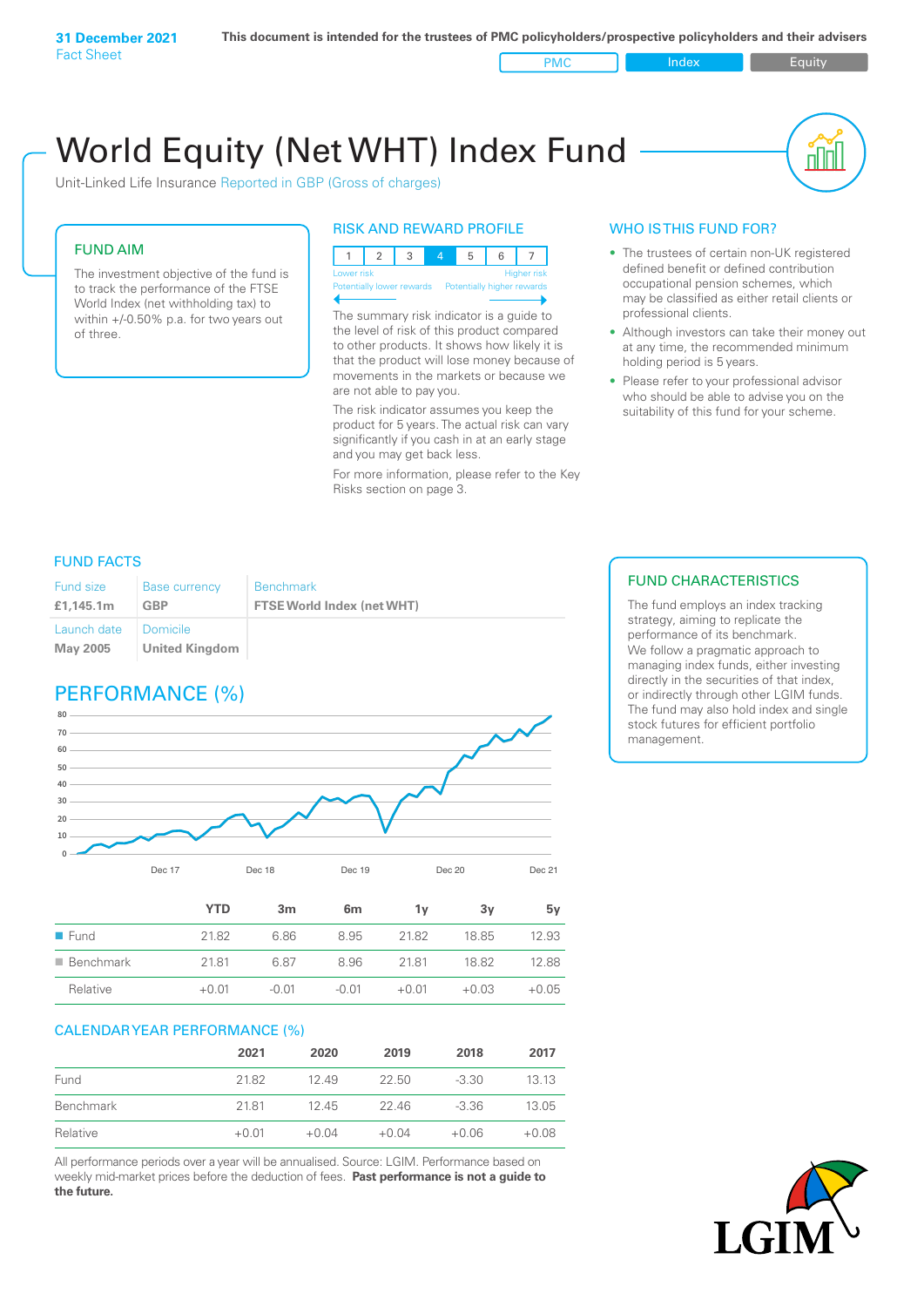Fact Sheet

PMC Index Index Equity

пIП

# World Equity (Net WHT) Index Fund

Unit-Linked Life Insurance Reported in GBP (Gross of charges)

### FUND AIM

The investment objective of the fund is to track the performance of the FTSE World Index (net withholding tax) to within +/-0.50% p.a. for two years out of three.

### RISK AND REWARD PROFILE

123 4 5 6 7 **High** Potentially lower rewards Potentially higher rewards

The summary risk indicator is a guide to the level of risk of this product compared to other products. It shows how likely it is that the product will lose money because of movements in the markets or because we are not able to pay you.

The risk indicator assumes you keep the product for 5 years. The actual risk can vary significantly if you cash in at an early stage and you may get back less.

For more information, please refer to the Key Risks section on page 3.

### WHO IS THIS FUND FOR?

- The trustees of certain non-UK registered defined benefit or defined contribution occupational pension schemes, which may be classified as either retail clients or professional clients.
- Although investors can take their money out at any time, the recommended minimum holding period is 5 years.
- Please refer to your professional advisor who should be able to advise you on the suitability of this fund for your scheme.

### FUND FACTS

| Fund size                          | <b>Base currency</b> | Benchmark                         |
|------------------------------------|----------------------|-----------------------------------|
| £1.145.1m                          | GBP                  | <b>FTSE World Index (net WHT)</b> |
| Launch date   Domicile<br>May 2005 | United Kingdom       |                                   |

# PERFORMANCE (%)



|                          | YTD     | 3 <sub>m</sub> | 6 <sub>m</sub> | ٦v      | З٧      | 5v      |
|--------------------------|---------|----------------|----------------|---------|---------|---------|
| $\blacksquare$ Fund      | 21.82   | 6.86           | 8.95           | 21.82   | 18.85   | 12.93   |
| $\blacksquare$ Benchmark | 21.81   | 687            | 8.96           | 21.81   | 18.82   | 12.88   |
| Relative                 | $+0.01$ | $-0.01$        | $-0.01$        | $+0.01$ | $+0.03$ | $+0.05$ |
|                          |         |                |                |         |         |         |

### CALENDAR YEAR PERFORMANCE (%)

|           | 2021    | 2020    | 2019    | 2018    | 2017    |
|-----------|---------|---------|---------|---------|---------|
| Fund      | 21.82   | 12.49   | 22.50   | $-3.30$ | 13.13   |
| Benchmark | 2181    | 1245    | 22.46   | $-3.36$ | 13.05   |
| Relative  | $+0.01$ | $+0.04$ | $+0.04$ | $+0.06$ | $+0.08$ |

All performance periods over a year will be annualised. Source: LGIM. Performance based on weekly mid-market prices before the deduction of fees. **Past performance is not a guide to the future.**

### FUND CHARACTERISTICS

The fund employs an index tracking strategy, aiming to replicate the performance of its benchmark. We follow a pragmatic approach to managing index funds, either investing directly in the securities of that index, or indirectly through other LGIM funds. The fund may also hold index and single stock futures for efficient portfolio management.

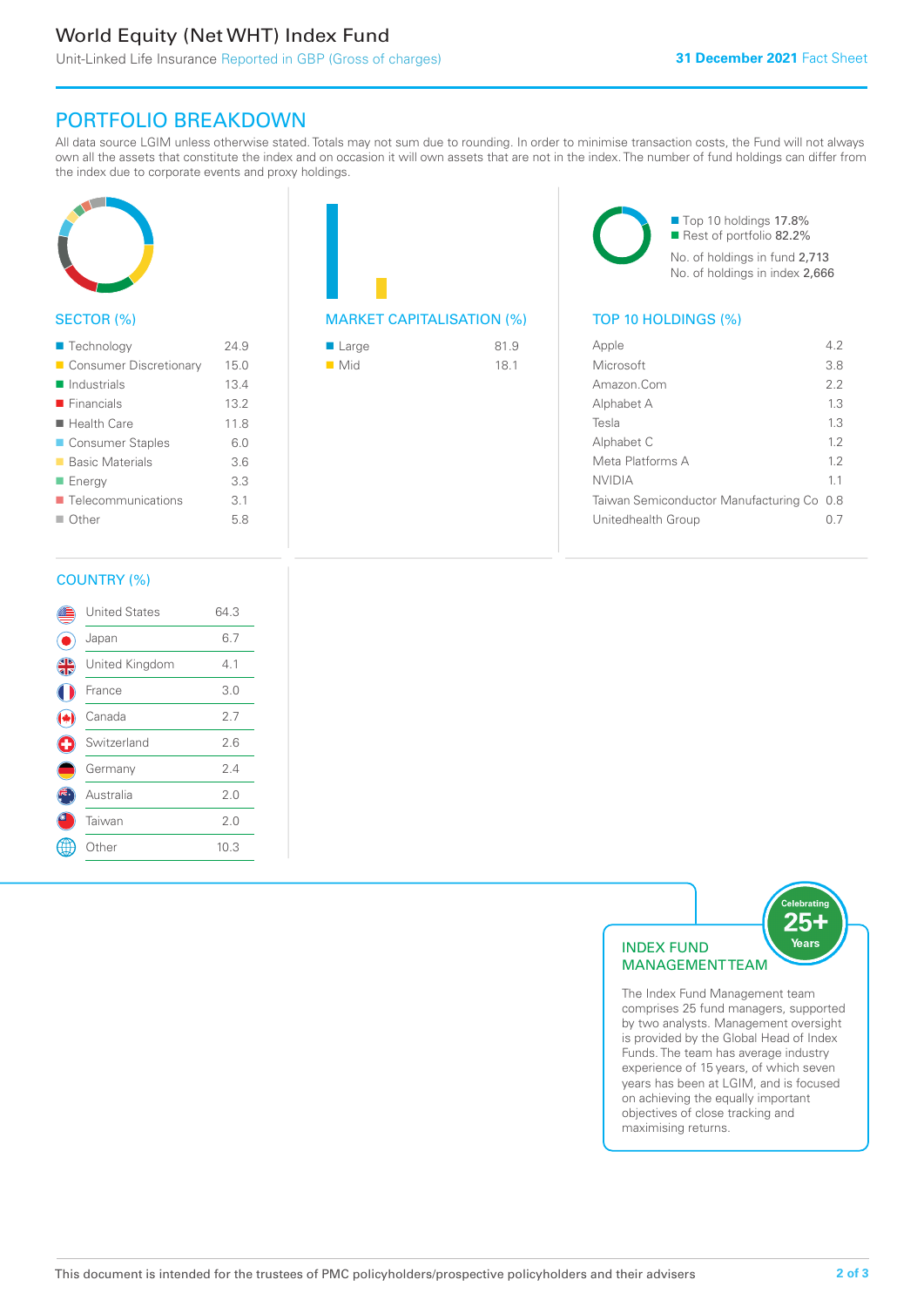# World Equity (Net WHT) Index Fund

# PORTFOLIO BREAKDOWN

All data source LGIM unless otherwise stated. Totals may not sum due to rounding. In order to minimise transaction costs, the Fund will not always own all the assets that constitute the index and on occasion it will own assets that are not in the index. The number of fund holdings can differ from the index due to corporate events and proxy holdings.



### SECTOR (%)

| ■ Technology               | 24.9 |
|----------------------------|------|
| Consumer Discretionary     | 15.0 |
| $\blacksquare$ Industrials | 13.4 |
| $\blacksquare$ Financials  | 13.2 |
| $\blacksquare$ Health Care | 11.8 |
| ■ Consumer Staples         | 6.0  |
| ■ Basic Materials          | 36   |
| ■ Energy                   | 3.3  |
| Telecommunications         | 3.1  |
| $\blacksquare$ Other       | 5.8  |
|                            |      |

# MARKET CAPITALISATION (%) TOP 10 HOLDINGS (%)

| $\blacksquare$ Large | 81.9 |
|----------------------|------|
| $\blacksquare$ Mid   | 18.1 |

■ Top 10 holdings 17.8% Rest of portfolio 82.2% No. of holdings in fund 2,713 No. of holdings in index 2,666

| Apple                                     | 42  |
|-------------------------------------------|-----|
| Microsoft                                 | 3.8 |
| Amazon Com                                | 2.2 |
| Alphabet A                                | 1.3 |
| Tesla                                     | 13  |
| Alphabet C                                | 1.2 |
| Meta Platforms A                          | 12  |
| <b>NVIDIA</b>                             | 11  |
| Taiwan Semiconductor Manufacturing Co 0.8 |     |
| Unitedhealth Group                        |     |
|                                           |     |

### COUNTRY (%)

|   | <b>United States</b> | 64.3 |  |
|---|----------------------|------|--|
|   | Japan                | 6.7  |  |
| 4 | United Kingdom       | 4.1  |  |
|   | France               | 3.0  |  |
|   | Canada               | 2.7  |  |
| Œ | Switzerland          | 2.6  |  |
|   | Germany              | 2.4  |  |
|   | Australia            | 2.0  |  |
|   | Taiwan               | 2.0  |  |
|   | Other                | 10.3 |  |
|   |                      |      |  |



The Index Fund Management team comprises 25 fund managers, supported by two analysts. Management oversight is provided by the Global Head of Index Funds. The team has average industry experience of 15 years, of which seven years has been at LGIM, and is focused on achieving the equally important objectives of close tracking and maximising returns.